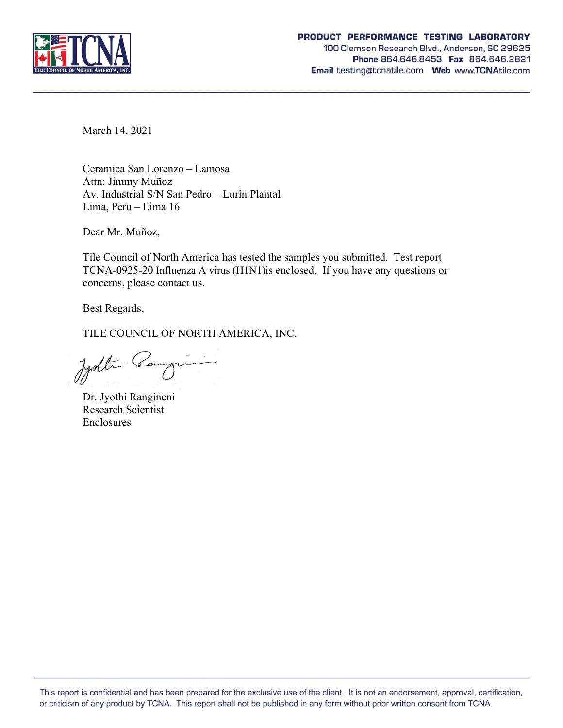

March 14, 2021

Ceramica San Lorenzo – Lamosa Attn: Jimmy Muñoz Av. Industrial S/N San Pedro – Lurin Plantal Lima, Peru – Lima 16

Dear Mr. Muñoz,

Tile Council of North America has tested the samples you submitted. Test report TCNA-0925-20 Influenza A virus (H1N1)is enclosed. If you have any questions or concerns, please contact us.

Best Regards,

TILE COUNCIL OF NORTH AMERICA, INC.

Jydlin Cangin

Dr. Jyothi Rangineni Research Scientist Enclosures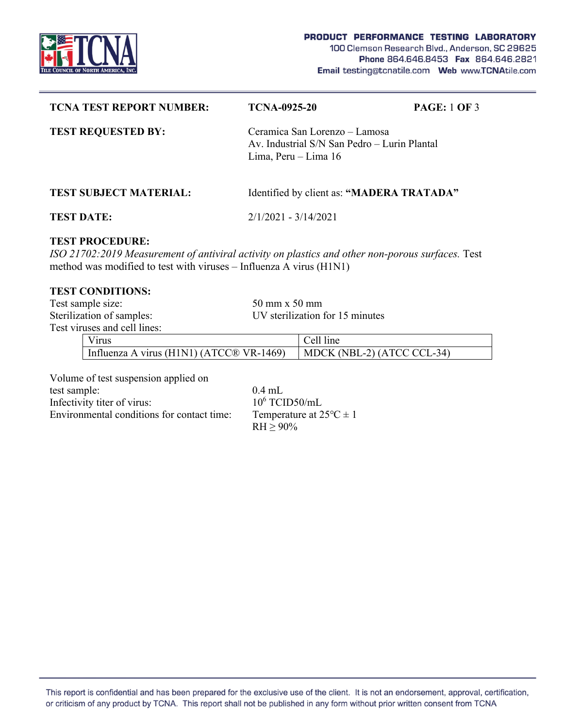

| <b>TCNA TEST REPORT NUMBER:</b>                                                                                                                                                                   | <b>TCNA-0925-20</b>                  | <b>PAGE: 1 OF 3</b>                                                           |  |  |  |
|---------------------------------------------------------------------------------------------------------------------------------------------------------------------------------------------------|--------------------------------------|-------------------------------------------------------------------------------|--|--|--|
| <b>TEST REQUESTED BY:</b>                                                                                                                                                                         | Lima, Peru $-$ Lima 16               | Ceramica San Lorenzo – Lamosa<br>Av. Industrial S/N San Pedro - Lurin Plantal |  |  |  |
| <b>TEST SUBJECT MATERIAL:</b>                                                                                                                                                                     |                                      | Identified by client as: "MADERA TRATADA"                                     |  |  |  |
| <b>TEST DATE:</b>                                                                                                                                                                                 | $2/1/2021 - 3/14/2021$               |                                                                               |  |  |  |
| <b>TEST PROCEDURE:</b><br>ISO 21702:2019 Measurement of antiviral activity on plastics and other non-porous surfaces. Test<br>method was modified to test with viruses – Influenza A virus (H1N1) |                                      |                                                                               |  |  |  |
| <b>TEST CONDITIONS:</b>                                                                                                                                                                           |                                      |                                                                               |  |  |  |
| Test sample size:                                                                                                                                                                                 | $50 \text{ mm} \times 50 \text{ mm}$ |                                                                               |  |  |  |
| Sterilization of samples:                                                                                                                                                                         |                                      | UV sterilization for 15 minutes                                               |  |  |  |

Test viruses and cell lines:

Virus | Cell line Influenza A virus (H1N1) (ATCC® VR-1469) MDCK (NBL-2) (ATCC CCL-34)

Volume of test suspension applied on

test sample: 0.4 mL Infectivity titer of virus: Environmental conditions for contact time: Temperature at  $25^{\circ}C \pm 1$ 

 $10^6$  TCID50/mL  $RH \ge 90\%$ 

This report is confidential and has been prepared for the exclusive use of the client. It is not an endorsement, approval, certification, or criticism of any product by TCNA. This report shall not be published in any form without prior written consent from TCNA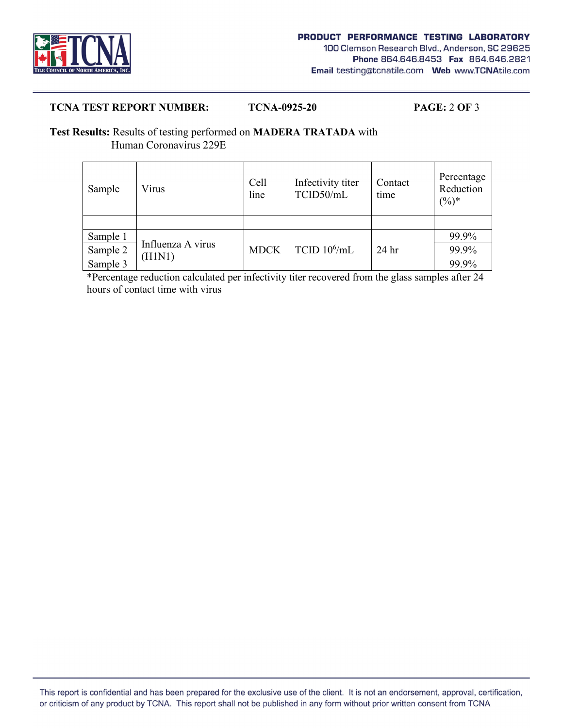

## **TCNA TEST REPORT NUMBER: TCNA-0925-20 PAGE:** 2 **OF** 3

## **Test Results:** Results of testing performed on **MADERA TRATADA** with Human Coronavirus 229E

| Sample   | Virus                       | Cell<br>line | Infectivity titer<br>TCID50/mL | Contact<br>time  | Percentage<br>Reduction<br>$(\%)^*$ |
|----------|-----------------------------|--------------|--------------------------------|------------------|-------------------------------------|
|          |                             |              |                                |                  |                                     |
| Sample 1 | Influenza A virus<br>(H1N1) | <b>MDCK</b>  | TCID $10^6$ /mL                | 24 <sub>hr</sub> | 99.9%                               |
| Sample 2 |                             |              |                                |                  | 99.9%                               |
| Sample 3 |                             |              |                                |                  | 99.9%                               |

 \*Percentage reduction calculated per infectivity titer recovered from the glass samples after 24 hours of contact time with virus

This report is confidential and has been prepared for the exclusive use of the client. It is not an endorsement, approval, certification, or criticism of any product by TCNA. This report shall not be published in any form without prior written consent from TCNA